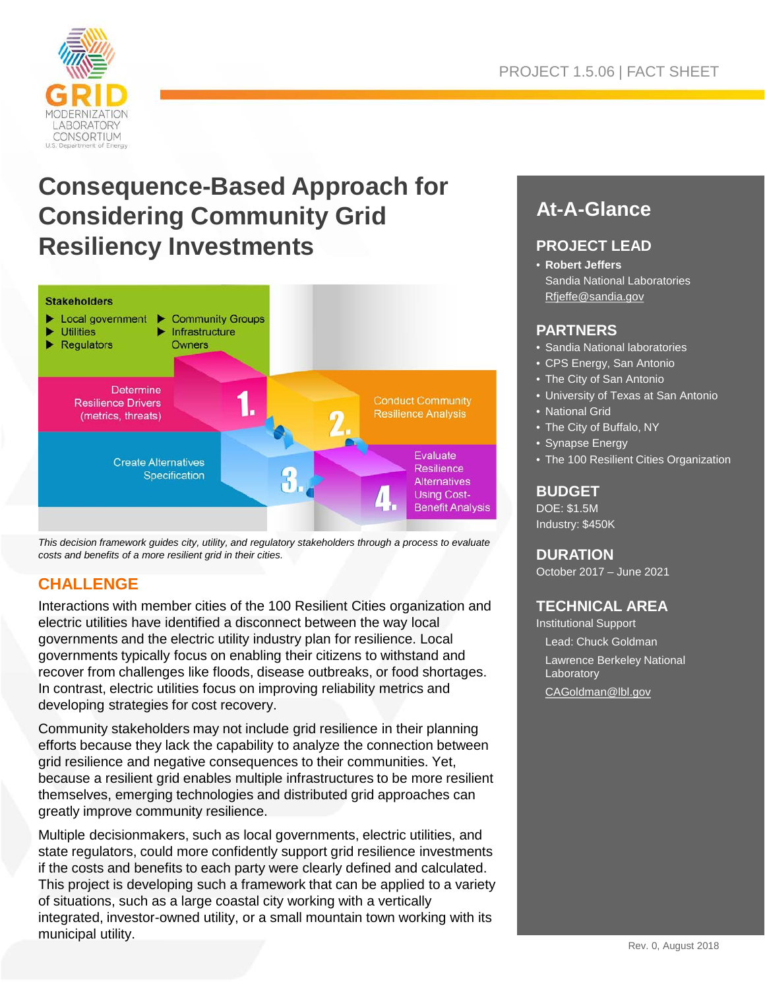

# **Consequence-Based Approach for Considering Community Grid Resiliency Investments**



*This decision framework guides city, utility, and regulatory stakeholders through a process to evaluate costs and benefits of a more resilient grid in their cities.*

### **CHALLENGE**

Interactions with member cities of the 100 Resilient Cities organization and electric utilities have identified a disconnect between the way local governments and the electric utility industry plan for resilience. Local governments typically focus on enabling their citizens to withstand and recover from challenges like floods, disease outbreaks, or food shortages. In contrast, electric utilities focus on improving reliability metrics and developing strategies for cost recovery.

Community stakeholders may not include grid resilience in their planning efforts because they lack the capability to analyze the connection between grid resilience and negative consequences to their communities. Yet, because a resilient grid enables multiple infrastructures to be more resilient themselves, emerging technologies and distributed grid approaches can greatly improve community resilience.

Multiple decisionmakers, such as local governments, electric utilities, and state regulators, could more confidently support grid resilience investments if the costs and benefits to each party were clearly defined and calculated. This project is developing such a framework that can be applied to a variety of situations, such as a large coastal city working with a vertically integrated, investor-owned utility, or a small mountain town working with its municipal utility.

## **At-A-Glance**

#### **PROJECT LEAD**

• **Robert Jeffers** Sandia National Laboratories [Rfjeffe@sandia.gov](mailto:Rfjeffe@sandia.gov)

#### **PARTNERS**

- Sandia National laboratories
- CPS Energy, San Antonio
- The City of San Antonio
- University of Texas at San Antonio
- National Grid
- The City of Buffalo, NY
- Synapse Energy
- The 100 Resilient Cities Organization

#### **BUDGET**

DOE: \$1.5M Industry: \$450K

#### **DURATION**

October 2017 – June 2021

#### **TECHNICAL AREA**

Institutional Support Lead: Chuck Goldman Lawrence Berkeley National **Laboratory** 

[CAGoldman@lbl.gov](mailto:CAGoldman@lbl.gov)